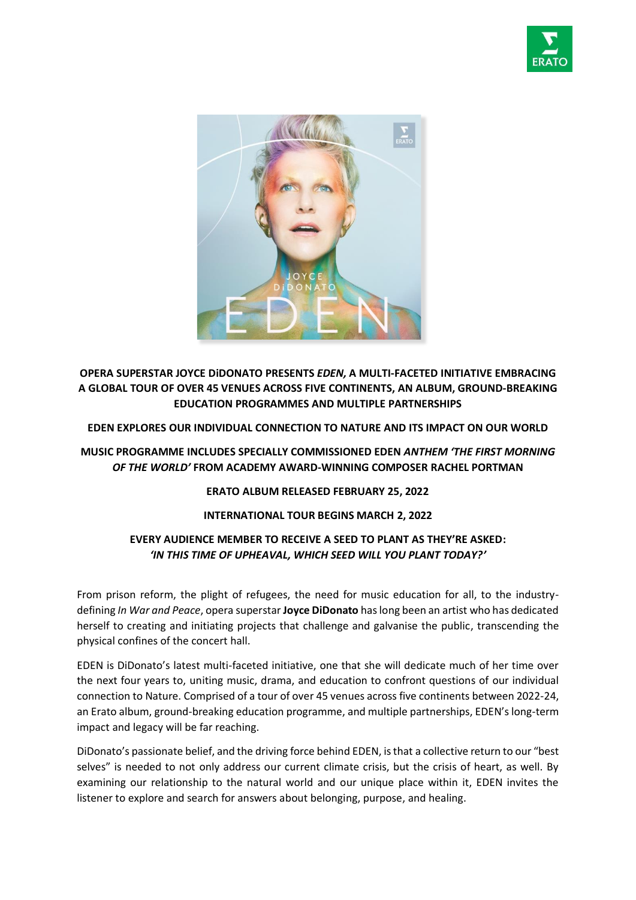



**OPERA SUPERSTAR JOYCE DiDONATO PRESENTS** *EDEN,* **A MULTI-FACETED INITIATIVE EMBRACING A GLOBAL TOUR OF OVER 45 VENUES ACROSS FIVE CONTINENTS, AN ALBUM, GROUND-BREAKING EDUCATION PROGRAMMES AND MULTIPLE PARTNERSHIPS**

**EDEN EXPLORES OUR INDIVIDUAL CONNECTION TO NATURE AND ITS IMPACT ON OUR WORLD**

# **MUSIC PROGRAMME INCLUDES SPECIALLY COMMISSIONED EDEN** *ANTHEM 'THE FIRST MORNING OF THE WORLD'* **FROM ACADEMY AWARD-WINNING COMPOSER RACHEL PORTMAN**

### **ERATO ALBUM RELEASED FEBRUARY 25, 2022**

## **INTERNATIONAL TOUR BEGINS MARCH 2, 2022**

# **EVERY AUDIENCE MEMBER TO RECEIVE A SEED TO PLANT AS THEY'RE ASKED:**  *'IN THIS TIME OF UPHEAVAL, WHICH SEED WILL YOU PLANT TODAY?'*

From prison reform, the plight of refugees, the need for music education for all, to the industrydefining *In War and Peace*, opera superstar **Joyce DiDonato** has long been an artist who has dedicated herself to creating and initiating projects that challenge and galvanise the public, transcending the physical confines of the concert hall.

EDEN is DiDonato's latest multi-faceted initiative, one that she will dedicate much of her time over the next four years to, uniting music, drama, and education to confront questions of our individual connection to Nature. Comprised of a tour of over 45 venues across five continents between 2022-24, an Erato album, ground-breaking education programme, and multiple partnerships, EDEN's long-term impact and legacy will be far reaching.

DiDonato's passionate belief, and the driving force behind EDEN, is that a collective return to our "best selves" is needed to not only address our current climate crisis, but the crisis of heart, as well. By examining our relationship to the natural world and our unique place within it, EDEN invites the listener to explore and search for answers about belonging, purpose, and healing.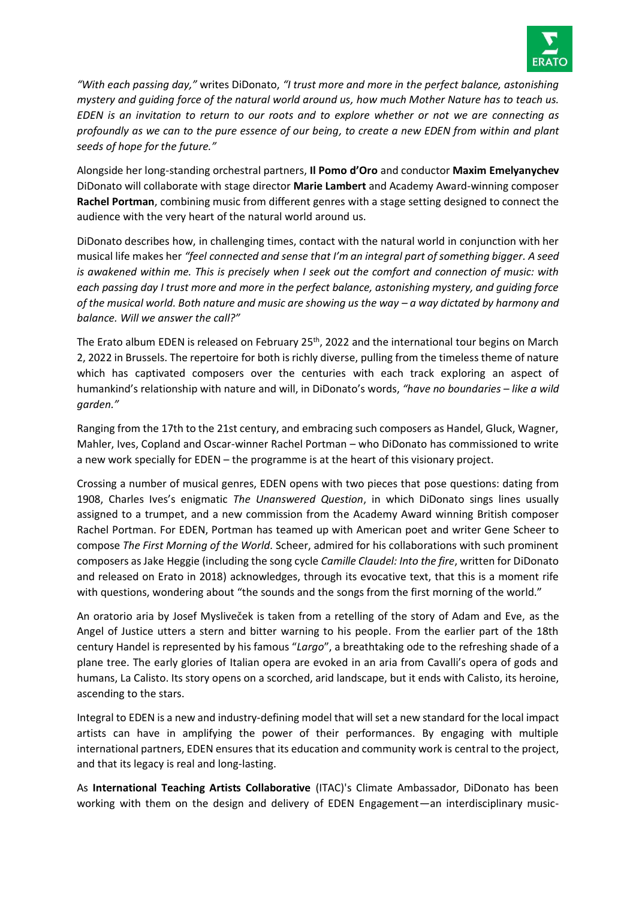

*"With each passing day,"* writes DiDonato, *"I trust more and more in the perfect balance, astonishing mystery and guiding force of the natural world around us, how much Mother Nature has to teach us. EDEN is an invitation to return to our roots and to explore whether or not we are connecting as profoundly as we can to the pure essence of our being, to create a new EDEN from within and plant seeds of hope for the future."*

Alongside her long-standing orchestral partners, **Il Pomo d'Oro** and conductor **Maxim Emelyanychev** DiDonato will collaborate with stage director **Marie Lambert** and Academy Award-winning composer **Rachel Portman**, combining music from different genres with a stage setting designed to connect the audience with the very heart of the natural world around us.

DiDonato describes how, in challenging times, contact with the natural world in conjunction with her musical life makes her *"feel connected and sense that I'm an integral part of something bigger. A seed is awakened within me. This is precisely when I seek out the comfort and connection of music: with each passing day I trust more and more in the perfect balance, astonishing mystery, and guiding force of the musical world. Both nature and music are showing us the way – a way dictated by harmony and balance. Will we answer the call?"*

The Erato album EDEN is released on February 25<sup>th</sup>, 2022 and the international tour begins on March 2, 2022 in Brussels. The repertoire for both is richly diverse, pulling from the timeless theme of nature which has captivated composers over the centuries with each track exploring an aspect of humankind's relationship with nature and will, in DiDonato's words, *"have no boundaries – like a wild garden."*

Ranging from the 17th to the 21st century, and embracing such composers as Handel, Gluck, Wagner, Mahler, Ives, Copland and Oscar-winner Rachel Portman – who DiDonato has commissioned to write a new work specially for EDEN – the programme is at the heart of this visionary project.

Crossing a number of musical genres, EDEN opens with two pieces that pose questions: dating from 1908, Charles Ives's enigmatic *The Unanswered Question*, in which DiDonato sings lines usually assigned to a trumpet, and a new commission from the Academy Award winning British composer Rachel Portman. For EDEN, Portman has teamed up with American poet and writer Gene Scheer to compose *The First Morning of the World.* Scheer, admired for his collaborations with such prominent composers as Jake Heggie (including the song cycle *Camille Claudel: Into the fire*, written for DiDonato and released on Erato in 2018) acknowledges, through its evocative text, that this is a moment rife with questions, wondering about "the sounds and the songs from the first morning of the world."

An oratorio aria by Josef Mysliveček is taken from a retelling of the story of Adam and Eve, as the Angel of Justice utters a stern and bitter warning to his people. From the earlier part of the 18th century Handel is represented by his famous "*Largo*", a breathtaking ode to the refreshing shade of a plane tree. The early glories of Italian opera are evoked in an aria from Cavalli's opera of gods and humans, La Calisto. Its story opens on a scorched, arid landscape, but it ends with Calisto, its heroine, ascending to the stars.

Integral to EDEN is a new and industry-defining model that will set a new standard for the local impact artists can have in amplifying the power of their performances. By engaging with multiple international partners, EDEN ensures that its education and community work is central to the project, and that its legacy is real and long-lasting.

As **International Teaching Artists Collaborative** (ITAC)'s Climate Ambassador, DiDonato has been working with them on the design and delivery of EDEN Engagement—an interdisciplinary music-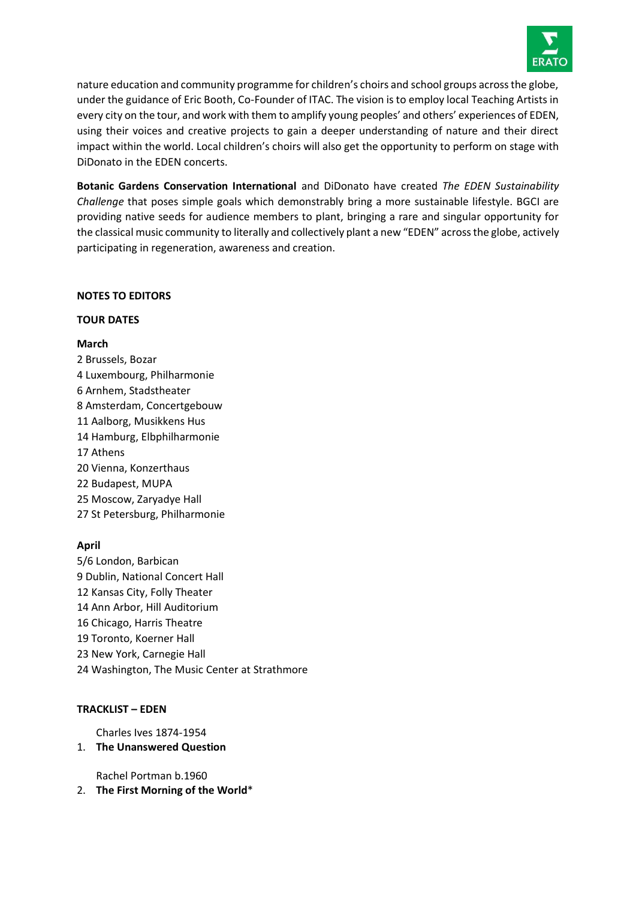

nature education and community programme for children's choirs and school groups across the globe, under the guidance of Eric Booth, Co-Founder of ITAC. The vision is to employ local Teaching Artists in every city on the tour, and work with them to amplify young peoples' and others' experiences of EDEN, using their voices and creative projects to gain a deeper understanding of nature and their direct impact within the world. Local children's choirs will also get the opportunity to perform on stage with DiDonato in the EDEN concerts.

**Botanic Gardens Conservation International** and DiDonato have created *The EDEN Sustainability Challenge* that poses simple goals which demonstrably bring a more sustainable lifestyle. BGCI are providing native seeds for audience members to plant, bringing a rare and singular opportunity for the classical music community to literally and collectively plant a new "EDEN" across the globe, actively participating in regeneration, awareness and creation.

### **NOTES TO EDITORS**

#### **TOUR DATES**

#### **March**

2 Brussels, Bozar 4 Luxembourg, Philharmonie 6 Arnhem, Stadstheater 8 Amsterdam, Concertgebouw 11 Aalborg, Musikkens Hus 14 Hamburg, Elbphilharmonie 17 Athens 20 Vienna, Konzerthaus 22 Budapest, MUPA 25 Moscow, Zaryadye Hall 27 St Petersburg, Philharmonie

### **April**

5/6 London, Barbican 9 Dublin, National Concert Hall 12 Kansas City, Folly Theater 14 Ann Arbor, Hill Auditorium 16 Chicago, Harris Theatre 19 Toronto, Koerner Hall 23 New York, Carnegie Hall 24 Washington, The Music Center at Strathmore

### **TRACKLIST – EDEN**

Charles Ives 1874-1954

### 1. **The Unanswered Question**

Rachel Portman b.1960

2. **The First Morning of the World**\*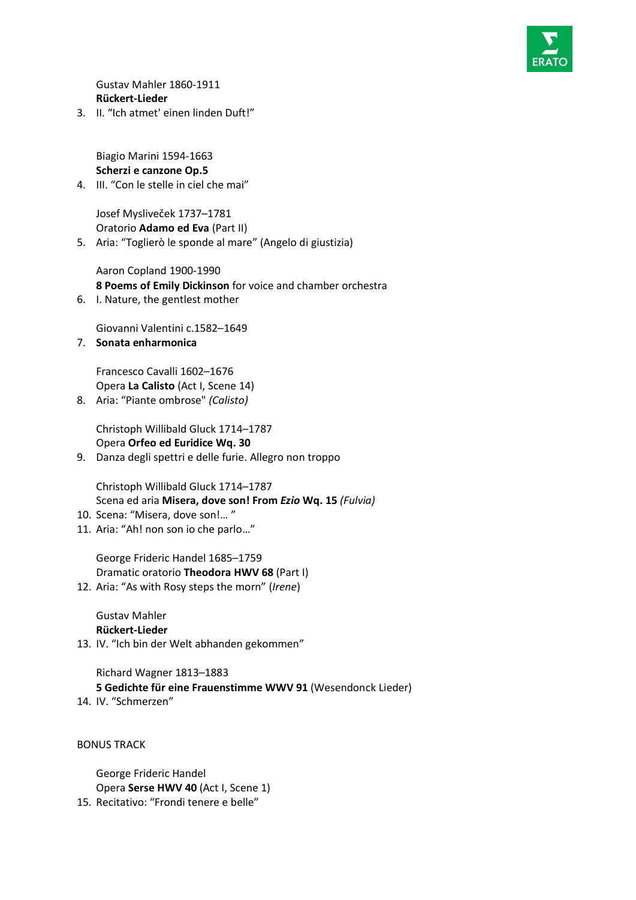

Gustav Mahler 1860-1911 **Rückert-Lieder**

3. II. "Ich atmet' einen linden Duft!"

Biagio Marini 1594-1663 **Scherzi e canzone Op.5**

4. III. "Con le stelle in ciel che mai"

Josef Mysliveček 1737–1781 Oratorio **Adamo ed Eva** (Part II)

5. Aria: "Toglierò le sponde al mare" (Angelo di giustizia)

Aaron Copland 1900-1990 **8 Poems of Emily Dickinson** for voice and chamber orchestra

6. I. Nature, the gentlest mother

Giovanni Valentini c.1582–1649

7. **Sonata enharmonica** 

Francesco Cavalli 1602–1676 Opera **La Calisto** (Act I, Scene 14)

8. Aria: "Piante ombrose" *(Calisto)*

Christoph Willibald Gluck 1714–1787 Opera **Orfeo ed Euridice Wq. 30**

9. Danza degli spettri e delle furie. Allegro non troppo

Christoph Willibald Gluck 1714–1787 Scena ed aria **Misera, dove son! From** *Ezio* **Wq. 15** *(Fulvia)*

- 10. Scena: "Misera, dove son!… "
- 11. Aria: "Ah! non son io che parlo…"

George Frideric Handel 1685–1759 Dramatic oratorio **Theodora HWV 68** (Part I) 12. Aria: "As with Rosy steps the morn" (*Irene*)

Gustav Mahler **Rückert-Lieder**

13. IV. "Ich bin der Welt abhanden gekommen"

Richard Wagner 1813–1883 **5 Gedichte für eine Frauenstimme WWV 91** (Wesendonck Lieder)

14. IV. "Schmerzen"

BONUS TRACK

George Frideric Handel Opera **Serse HWV 40** (Act I, Scene 1) 15. Recitativo: "Frondi tenere e belle"